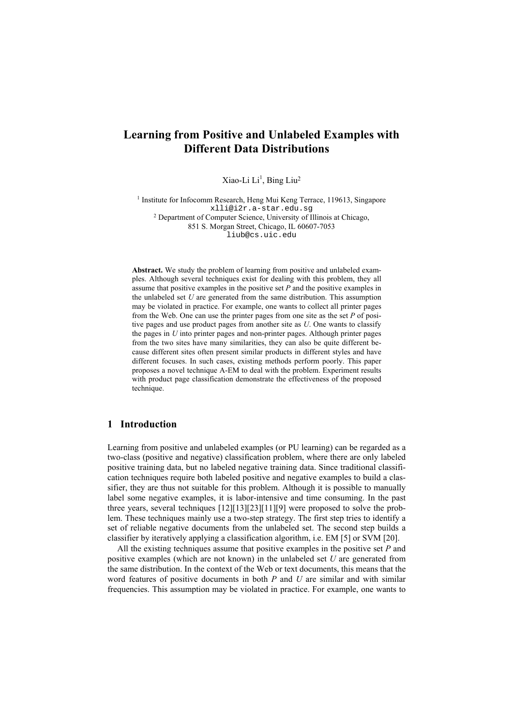# **Learning from Positive and Unlabeled Examples with Different Data Distributions**

Xiao-Li Li<sup>1</sup>, Bing Liu<sup>2</sup>

<sup>1</sup> Institute for Infocomm Research, Heng Mui Keng Terrace, 119613, Singapore xlli@i2r.a-star.edu.sg 2 Department of Computer Science, University of Illinois at Chicago, 851 S. Morgan Street, Chicago, IL 60607-7053 liub@cs.uic.edu

**Abstract.** We study the problem of learning from positive and unlabeled examples. Although several techniques exist for dealing with this problem, they all assume that positive examples in the positive set *P* and the positive examples in the unlabeled set *U* are generated from the same distribution. This assumption may be violated in practice. For example, one wants to collect all printer pages from the Web. One can use the printer pages from one site as the set *P* of positive pages and use product pages from another site as *U*. One wants to classify the pages in *U* into printer pages and non-printer pages. Although printer pages from the two sites have many similarities, they can also be quite different because different sites often present similar products in different styles and have different focuses. In such cases, existing methods perform poorly. This paper proposes a novel technique A-EM to deal with the problem. Experiment results with product page classification demonstrate the effectiveness of the proposed technique.

## **1 Introduction**

Learning from positive and unlabeled examples (or PU learning) can be regarded as a two-class (positive and negative) classification problem, where there are only labeled positive training data, but no labeled negative training data. Since traditional classification techniques require both labeled positive and negative examples to build a classifier, they are thus not suitable for this problem. Although it is possible to manually label some negative examples, it is labor-intensive and time consuming. In the past three years, several techniques [12][13][23][11][9] were proposed to solve the problem. These techniques mainly use a two-step strategy. The first step tries to identify a set of reliable negative documents from the unlabeled set. The second step builds a classifier by iteratively applying a classification algorithm, i.e. EM [5] or SVM [20].

All the existing techniques assume that positive examples in the positive set *P* and positive examples (which are not known) in the unlabeled set *U* are generated from the same distribution. In the context of the Web or text documents, this means that the word features of positive documents in both *P* and *U* are similar and with similar frequencies. This assumption may be violated in practice. For example, one wants to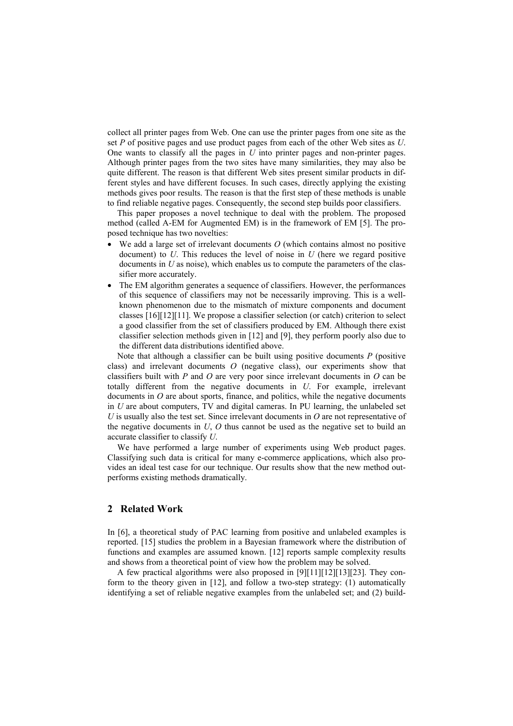collect all printer pages from Web. One can use the printer pages from one site as the set *P* of positive pages and use product pages from each of the other Web sites as *U*. One wants to classify all the pages in *U* into printer pages and non-printer pages. Although printer pages from the two sites have many similarities, they may also be quite different. The reason is that different Web sites present similar products in different styles and have different focuses. In such cases, directly applying the existing methods gives poor results. The reason is that the first step of these methods is unable to find reliable negative pages. Consequently, the second step builds poor classifiers.

This paper proposes a novel technique to deal with the problem. The proposed method (called A-EM for Augmented EM) is in the framework of EM [5]. The proposed technique has two novelties:

- We add a large set of irrelevant documents *O* (which contains almost no positive document) to *U*. This reduces the level of noise in *U* (here we regard positive documents in *U* as noise), which enables us to compute the parameters of the classifier more accurately.
- The EM algorithm generates a sequence of classifiers. However, the performances of this sequence of classifiers may not be necessarily improving. This is a wellknown phenomenon due to the mismatch of mixture components and document classes [16][12][11]. We propose a classifier selection (or catch) criterion to select a good classifier from the set of classifiers produced by EM. Although there exist classifier selection methods given in [12] and [9], they perform poorly also due to the different data distributions identified above.

Note that although a classifier can be built using positive documents *P* (positive class) and irrelevant documents *O* (negative class), our experiments show that classifiers built with *P* and *O* are very poor since irrelevant documents in *O* can be totally different from the negative documents in *U*. For example, irrelevant documents in *O* are about sports, finance, and politics, while the negative documents in *U* are about computers, TV and digital cameras. In PU learning, the unlabeled set *U* is usually also the test set. Since irrelevant documents in *O* are not representative of the negative documents in *U*, *O* thus cannot be used as the negative set to build an accurate classifier to classify *U*.

We have performed a large number of experiments using Web product pages. Classifying such data is critical for many e-commerce applications, which also provides an ideal test case for our technique. Our results show that the new method outperforms existing methods dramatically.

## **2 Related Work**

In [6], a theoretical study of PAC learning from positive and unlabeled examples is reported. [15] studies the problem in a Bayesian framework where the distribution of functions and examples are assumed known. [12] reports sample complexity results and shows from a theoretical point of view how the problem may be solved.

A few practical algorithms were also proposed in [9][11][12][13][23]. They conform to the theory given in [12], and follow a two-step strategy: (1) automatically identifying a set of reliable negative examples from the unlabeled set; and (2) build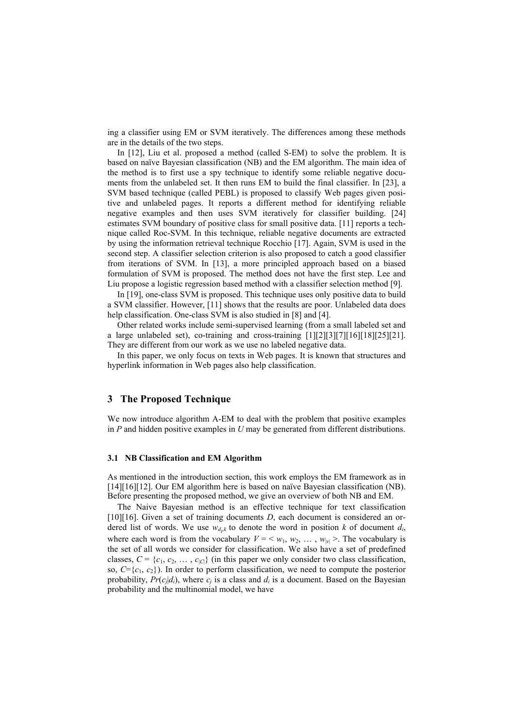ing a classifier using EM or SVM iteratively. The differences among these methods are in the details of the two steps.

In [12], Liu et al. proposed a method (called S-EM) to solve the problem. It is based on naïve Bayesian classification (NB) and the EM algorithm. The main idea of the method is to first use a spy technique to identify some reliable negative documents from the unlabeled set. It then runs EM to build the final classifier. In [23], a SVM based technique (called PEBL) is proposed to classify Web pages given positive and unlabeled pages. It reports a different method for identifying reliable negative examples and then uses SVM iteratively for classifier building. [24] estimates SVM boundary of positive class for small positive data. [11] reports a technique called Roc-SVM. In this technique, reliable negative documents are extracted by using the information retrieval technique Rocchio [17]. Again, SVM is used in the second step. A classifier selection criterion is also proposed to catch a good classifier from iterations of SVM. In [13], a more principled approach based on a biased formulation of SVM is proposed. The method does not have the first step. Lee and Liu propose a logistic regression based method with a classifier selection method [9].

In [19], one-class SVM is proposed. This technique uses only positive data to build a SVM classifier. However, [11] shows that the results are poor. Unlabeled data does help classification. One-class SVM is also studied in [8] and [4].

Other related works include semi-supervised learning (from a small labeled set and a large unlabeled set), co-training and cross-training [1][2][3][7][16][18][25][21]. They are different from our work as we use no labeled negative data.

In this paper, we only focus on texts in Web pages. It is known that structures and hyperlink information in Web pages also help classification.

## **3 The Proposed Technique**

We now introduce algorithm A-EM to deal with the problem that positive examples in *P* and hidden positive examples in *U* may be generated from different distributions.

## **3.1 NB Classification and EM Algorithm**

As mentioned in the introduction section, this work employs the EM framework as in [14][16][12]. Our EM algorithm here is based on naïve Bayesian classification (NB). Before presenting the proposed method, we give an overview of both NB and EM.

The Naive Bayesian method is an effective technique for text classification  $[10][16]$ . Given a set of training documents *D*, each document is considered an ordered list of words. We use  $w_{d_k k}$  to denote the word in position *k* of document  $d_i$ , where each word is from the vocabulary  $V = \langle w_1, w_2, \dots, w_{|v|} \rangle$ . The vocabulary is the set of all words we consider for classification. We also have a set of predefined classes,  $C = \{c_1, c_2, \dots, c_{|C|}\}\$  (in this paper we only consider two class classification, so,  $C = \{c_1, c_2\}$ ). In order to perform classification, we need to compute the posterior probability,  $Pr(c_i|d_i)$ , where  $c_i$  is a class and  $d_i$  is a document. Based on the Bayesian probability and the multinomial model, we have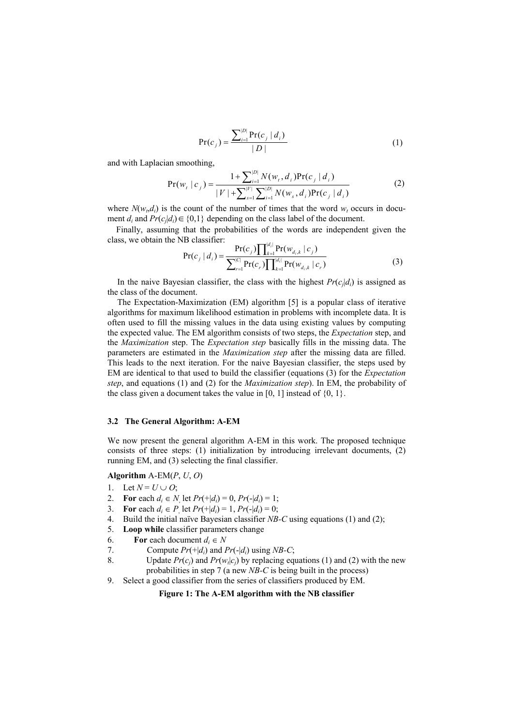$$
Pr(c_j) = \frac{\sum_{i=1}^{|D|} Pr(c_j | d_i)}{|D|}
$$
 (1)

and with Laplacian smoothing,

$$
Pr(w_i | c_j) = \frac{1 + \sum_{i=1}^{|D|} N(w_i, d_i) Pr(c_j | d_i)}{|V| + \sum_{s=1}^{|V|} \sum_{i=1}^{|D|} N(w_s, d_i) Pr(c_j | d_i)}
$$
(2)

where  $N(w_t, d_i)$  is the count of the number of times that the word  $w_t$  occurs in document  $d_i$  and  $Pr(c_i|d_i) \in \{0,1\}$  depending on the class label of the document.

Finally, assuming that the probabilities of the words are independent given the class, we obtain the NB classifier:  $|d_i|$ *d*

$$
Pr(c_j | d_i) = \frac{Pr(c_j) \prod_{k=1}^{|d_i|} Pr(w_{d_i,k} | c_j)}{\sum_{r=1}^{|C|} Pr(c_r) \prod_{k=1}^{|d_i|} Pr(w_{d_i,k} | c_r)}
$$
(3)

In the naive Bayesian classifier, the class with the highest  $Pr(c_i|d_i)$  is assigned as the class of the document.

The Expectation-Maximization (EM) algorithm [5] is a popular class of iterative algorithms for maximum likelihood estimation in problems with incomplete data. It is often used to fill the missing values in the data using existing values by computing the expected value. The EM algorithm consists of two steps, the *Expectation* step, and the *Maximization* step. The *Expectation step* basically fills in the missing data. The parameters are estimated in the *Maximization step* after the missing data are filled. This leads to the next iteration. For the naive Bayesian classifier, the steps used by EM are identical to that used to build the classifier (equations (3) for the *Expectation step*, and equations (1) and (2) for the *Maximization step*). In EM, the probability of the class given a document takes the value in  $[0, 1]$  instead of  $\{0, 1\}$ .

## **3.2 The General Algorithm: A-EM**

We now present the general algorithm A-EM in this work. The proposed technique consists of three steps: (1) initialization by introducing irrelevant documents, (2) running EM, and (3) selecting the final classifier.

**Algorithm** A-EM(*P*, *U*, *O*)

- 1. Let  $N = U \cup O$ ;
- 2. **For** each  $d_i \in N$ , let  $Pr(+|d_i) = 0$ ,  $Pr(-|d_i) = 1$ ;
- 3. **For** each  $d_i \in P$ , let  $Pr(+|d_i) = 1$ ,  $Pr(-|d_i) = 0$ ;
- 4. Build the initial naïve Bayesian classifier *NB-C* using equations (1) and (2);
- 5. **Loop while** classifier parameters change
- 6. **For** each document  $d_i \in N$
- 7. Compute  $Pr(+|d_i)$  and  $Pr(-|d_i)$  using *NB-C*;<br>8. Update  $Pr(c_i)$  and  $Pr(w_i|c_i)$  by replacing eq
- Update  $Pr(c_i)$  and  $Pr(w_i|c_i)$  by replacing equations (1) and (2) with the new probabilities in step 7 (a new *NB-C* is being built in the process)
- 9. Select a good classifier from the series of classifiers produced by EM.

## **Figure 1: The A-EM algorithm with the NB classifier**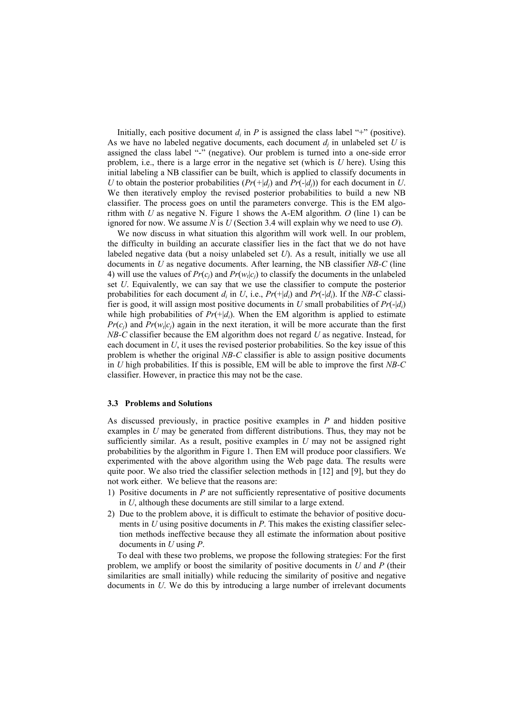Initially, each positive document  $d_i$  in  $P$  is assigned the class label "+" (positive). As we have no labeled negative documents, each document *dj* in unlabeled set *U* is assigned the class label "-" (negative). Our problem is turned into a one-side error problem, i.e., there is a large error in the negative set (which is *U* here). Using this initial labeling a NB classifier can be built, which is applied to classify documents in *U* to obtain the posterior probabilities  $(Pr(+|d_i)$  and  $Pr(-|d_i))$  for each document in *U*. We then iteratively employ the revised posterior probabilities to build a new NB classifier. The process goes on until the parameters converge. This is the EM algorithm with *U* as negative N. Figure 1 shows the A-EM algorithm. *O* (line 1) can be ignored for now. We assume *N* is *U* (Section 3.4 will explain why we need to use *O*).

We now discuss in what situation this algorithm will work well. In our problem, the difficulty in building an accurate classifier lies in the fact that we do not have labeled negative data (but a noisy unlabeled set *U*). As a result, initially we use all documents in *U* as negative documents. After learning, the NB classifier *NB-C* (line 4) will use the values of  $Pr(c_i)$  and  $Pr(w_i|c_i)$  to classify the documents in the unlabeled set *U*. Equivalently, we can say that we use the classifier to compute the posterior probabilities for each document  $d_i$  in *U*, i.e.,  $Pr(+|d_i)$  and  $Pr(-|d_i)$ . If the *NB-C* classifier is good, it will assign most positive documents in *U* small probabilities of *Pr*(-|*di*) while high probabilities of  $Pr(\hat{+}|d_i)$ . When the EM algorithm is applied to estimate  $Pr(c_i)$  and  $Pr(w_i|c_i)$  again in the next iteration, it will be more accurate than the first *NB-C* classifier because the EM algorithm does not regard *U* as negative. Instead, for each document in *U*, it uses the revised posterior probabilities. So the key issue of this problem is whether the original *NB-C* classifier is able to assign positive documents in *U* high probabilities. If this is possible, EM will be able to improve the first *NB-C* classifier. However, in practice this may not be the case.

#### **3.3 Problems and Solutions**

As discussed previously, in practice positive examples in *P* and hidden positive examples in *U* may be generated from different distributions. Thus, they may not be sufficiently similar. As a result, positive examples in *U* may not be assigned right probabilities by the algorithm in Figure 1. Then EM will produce poor classifiers. We experimented with the above algorithm using the Web page data. The results were quite poor. We also tried the classifier selection methods in [12] and [9], but they do not work either. We believe that the reasons are:

- 1) Positive documents in *P* are not sufficiently representative of positive documents in *U*, although these documents are still similar to a large extend.
- 2) Due to the problem above, it is difficult to estimate the behavior of positive documents in *U* using positive documents in *P*. This makes the existing classifier selection methods ineffective because they all estimate the information about positive documents in *U* using *P*.

To deal with these two problems, we propose the following strategies: For the first problem, we amplify or boost the similarity of positive documents in *U* and *P* (their similarities are small initially) while reducing the similarity of positive and negative documents in *U*. We do this by introducing a large number of irrelevant documents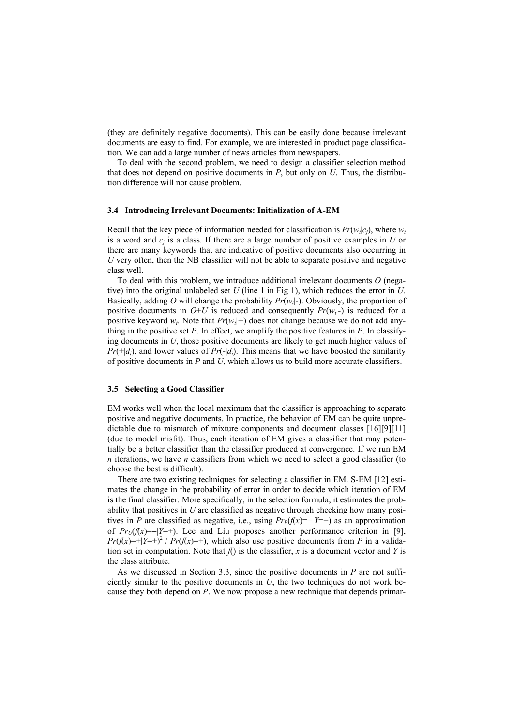(they are definitely negative documents). This can be easily done because irrelevant documents are easy to find. For example, we are interested in product page classificatio n. We can add a large number of news articles from newspapers.

that does not depend on positive documents in  $P$ , but only on  $U$ . Thus, the distribution difference will not cause problem. To deal with the second problem, we need to design a classifier selection method

#### **3.4 Introducing Irrelevant Documents: Initialization of A-EM**

U very often, then the NB classifier will not be able to separate positive and negative cla ss well. Recall that the key piece of information needed for classification is  $Pr(w_i|c_i)$ , where  $w_i$ is a word and *cj* is a class. If there are a large number of positive examples in *U* or there are many keywords that are indicative of positive documents also occurring in

of positive documents in *P* and *U*, which allows us to build more accurate classifiers. To deal with this problem, we introduce additional irrelevant documents *O* (negative) into the original unlabeled set *U* (line 1 in Fig 1), which reduces the error in *U*. Basically, adding *O* will change the probability  $Pr(w_t)$ -). Obviously, the proportion of positive documents in  $O+U$  is reduced and consequently  $Pr(w_t|_{\cdot})$  is reduced for a positive keyword  $w_t$ . Note that  $Pr(w_t|+)$  does not change because we do not add anything in the positive set *P*. In effect, we amplify the positive features in *P*. In classifying documents in *U*, those positive documents are likely to get much higher values of  $Pr(+|d_i)$ , and lower values of  $Pr(-|d_i)$ . This means that we have boosted the similarity

#### **3.5 Selecting a Good Classifier**

*n* iterations, we have *n* classifiers from which we need to select a good classifier (to ch oose the best is difficult). EM works well when the local maximum that the classifier is approaching to separate positive and negative documents. In practice, the behavior of EM can be quite unpredictable due to mismatch of mixture components and document classes [16][9][11] (due to model misfit). Thus, each iteration of EM gives a classifier that may potentially be a better classifier than the classifier produced at convergence. If we run EM

tion set in computation. Note that  $f()$  is the classifier,  $x$  is a document vector and  $Y$  is the class attribute. There are two existing techniques for selecting a classifier in EM. S-EM [12] estimates the change in the probability of error in order to decide which iteration of EM is the final classifier. More specifically, in the selection formula, it estimates the probability that positives in *U* are classified as negative through checking how many positives in *P* are classified as negative, i.e., using  $Pr<sub>P</sub>(f(x)=-|Y=+)$  as an approximation of  $Pr_{U}(f(x)=-|Y=+)$ . Lee and Liu proposes another performance criterion in [9],  $Pr(f(x)=+|Y=+)^2$  /  $Pr(f(x)=+)$ , which also use positive documents from *P* in a valida-

As we discussed in Section 3.3, since the positive documents in *P* are not sufficiently similar to the positive documents in  $\overline{U}$ , the two techniques do not work because they both depend on *P*. We now propose a new technique that depends primar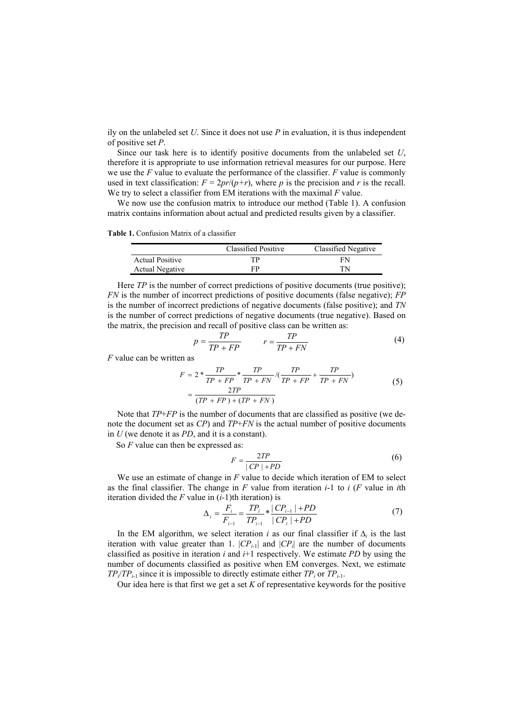ily on the unlabeled set *U*. Since it does not use *P* in evaluation, it is thus independent of positive set *P*.

used in text classification:  $F = 2pr/(p+r)$ , where *p* is the precision and *r* is the recall. W e try to select a classifier from EM iterations with the maximal *F* value. Since our task here is to identify positive documents from the unlabeled set *U*, therefore it is appropriate to use information retrieval measures for our purpose. Here we use the *F* value to evaluate the performance of the classifier. *F* value is commonly

We now use the confusion matrix to introduce our method (Table 1). A confusion matrix contains information about actual and predicted results given by a classifier.

Table 1. Confusion Matrix of a classifier

|                        | <b>Classified Positive</b> | Classified Negative |
|------------------------|----------------------------|---------------------|
| <b>Actual Positive</b> | TP.                        | FN                  |
| Actual Negative        | FP                         | TN                  |

Here *TP* is the number of correct predictions of positive documents (true positive); *FN* is the number of incorrect predictions of positive documents (false negative); *FP* is the number of incorrect predictions of negative documents (false positive); and *TN* is the number of correct predictions of negative documents (true negative). Based on the matrix, the precision and recall of positive class can be written as:

$$
p = \frac{TP}{TP + FP} \qquad r = \frac{TP}{TP + FN} \tag{4}
$$

*F* value can be written as

$$
F = 2 * \frac{TP}{TP + FP} * \frac{TP}{TP + FN} / (\frac{TP}{TP + FP} + \frac{TP}{TP + FN})
$$
  
= 
$$
\frac{2TP}{(TP + FP) + (TP + FN)}
$$
 (5)

Note that *TP*+*FP* is the number of documents that are classified as positive (we denote the document set as *CP*) and *TP*+*FN* is the actua l number of positive documents in  $U$  (we denote it as  $PD$ , and it is a constant).

So *F* value can then be expressed as:

$$
F = \frac{2TP}{|CP| + PD}
$$
 (6)

We use an estimate of change in *F* value to decide which iteration of EM to select as the final classifier. The change in  $F$  value from iteration  $i-1$  to  $i$  ( $F$  value in  $i$ th iteration divided the  $F$  value in  $(i-1)$ th iteration) is

$$
\Delta_i = \frac{F_i}{F_{i-1}} = \frac{TP_i}{TP_{i-1}} * \frac{|CP_{i-1}| + PD}{|CP_i| + PD}
$$
\n(7)

In the EM algorithm, we select iteration *i* as our final classifier if  $\Delta$ *i* is the last iteration with value greater than 1.  $|CP_{i-1}|$  and  $|CP_i|$  are the number of documents classified as positive in iteration *i* and *i*+1 respectively. We estimate *PD* by using the number of documents classified as positive when EM converges. Next, we estimate  $TP_i/TP_{i-1}$  since it is impossible to directly estimate either  $TP_i$  or  $TP_{i-1}$ .

Our idea here is that first we get a set  $K$  of representative keywords for the positive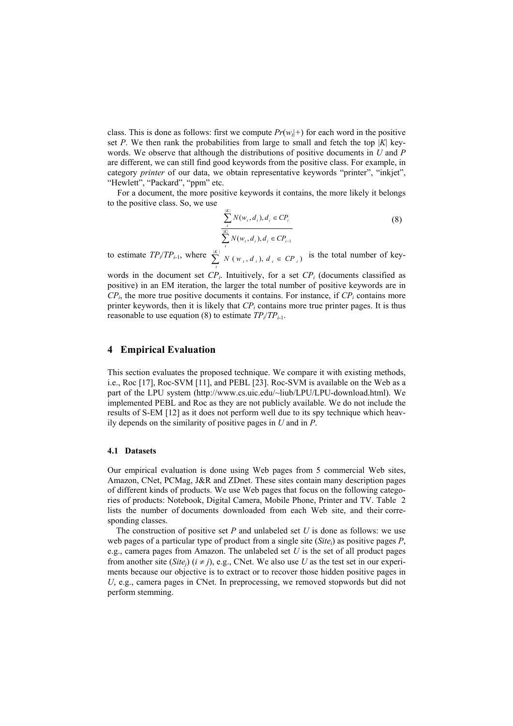class. This is done as follows: first we compute  $Pr(w_t|+)$  for each word in the positive set *P*. We then rank the probabilities from large to small and fetch the top  $|K|$  keywords. We observe that although the distributions of positive documents in *U* and *P*  are different, we can still find good keywords from the positive class. For example, in category *printer* of our data, we obtain representative keywords "printer", "inkjet", "Hewlett", "Packard", "ppm" etc.

For a document, the more positive keywords it contains, the more likely it belongs t o the positive class. So, we use

$$
\frac{\sum_{i}^{|\mathcal{K}|} N(w_i, d_i), d_i \in CP_i}{\sum_{i}^{|\mathcal{K}|} N(w_i, d_i), d_i \in CP_{i-1}}
$$
\n(8)

to estimate  $TP_i/TP_{i-1}$ , where  $\sum_{i=1}^{|K|} N(w_i, d_i)$ ,  $d_i \in CP_i$  $\sum_{i}^{k} N(w_i, d_i)$ ,  $d_i \in CP_i$  is the total number of key-

words in the document set  $CP_i$ . Intuitively, for a set  $CP_i$  (documents classified as positive) in an EM iteration, the larger the total number of positive keywords are in  $CP_i$ , the more true positive documents it contains. For instance, if  $CP_i$  contains more printer keywords, then it is likely that  $CP<sub>i</sub>$  contains more true printer pages. It is thus reasonable to use equation (8) to estimate  $TP_i/TP_{i-1}$ .

## **4 Empirical Evaluation**

implemented PEBL and Roc as they are not publicly available. We do not include the results of S-EM [12] as it does not perform well due to its spy technique which heavily depends on the similarity of positive pages in *U* and in *P*. This section evaluates the proposed technique. We compare it with existing methods, i.e., Roc [17], Roc-SVM [11], and PEBL [23]. Roc-SVM is available on the Web as a part of the LPU system (http://www.cs.uic.edu/~liub/LPU/LPU-download.html). We

## **4.1 Datasets**

ries of products: Notebook, Digital Camera, Mobile Phone, Printer and TV. Table 2 lists the number of documents downloaded from each Web site, and their corre-Our empirical evaluation is done using Web pages from 5 commercial Web sites, Amazon, CNet, PCMag, J&R and ZDnet. These sites contain many description pages of different kinds of products. We use Web pages that focus on the following categosponding classes.

ments because our objective is to extract or to recover those hidden positive pages in U, e.g., camera pages in CNet. In preprocessing, we removed stopwords but did not The construction of positive set *P* and unlabeled set *U* is done as follows: we use web pages of a particular type of product from a single site (*Site<sub>i</sub>*) as positive pages *P*, e.g., camera pages from Amazon. The unlabeled set *U* is the set of all product pages from another site (*Site<sub>i</sub>*) ( $i \neq j$ ), e.g., CNet. We also use U as the test set in our experiperform stemming.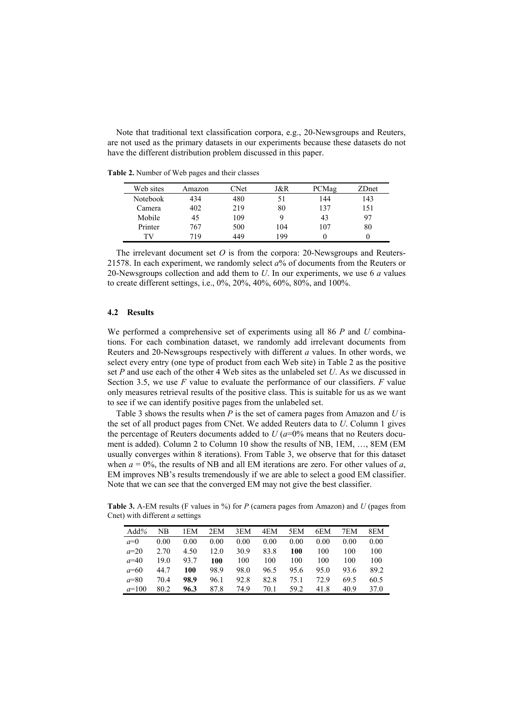Note that traditional text classification corpora, e.g., 20-Newsgroups and Reuters, are not used as the primary datasets in our experiments because these datasets do not have the different distribution problem discussed in this paper.

Table 2. Number of Web pages and their classes

| Web sites | Amazon | CNet | J&R | PCMag | ZDnet |
|-----------|--------|------|-----|-------|-------|
| Notebook  | 434    | 480  | 51  | 144   | 143   |
| Camera    | 402    | 219  | 80  | 137   | 151   |
| Mobile    | 45     | 109  |     | 43    | 97    |
| Printer   | 767    | 500  | 104 | 107   | 80    |
| TV        | 719    | 449  | 199 |       |       |

The irrelevant document set *O* is from the corpora: 20-Newsgroups and Reuters-21578. In each experiment, we randomly select *a*% of documents from the Reuters or 20-Newsgroups collection and add them to *U*. In our experiments, we use 6 *a* values to create different settings, i.e., 0%, 20%, 40%, 60%, 80%, and 100%.

#### **4.2 Results**

Section 3.5, we use  $F$  value to evaluate the performance of our classifiers.  $F$  value on ly measures retrieval results of the positive class. This is suitable for us as we want We performed a comprehensive set of experiments using all 86 *P* and *U* combinations. For each combination dataset, we randomly add irrelevant documents from Reuters and 20-Newsgroups respectively with different *a* values. In other words, we select every entry (one type of product from each Web site) in Table 2 as the positive set *P* and use each of the other 4 Web sites as the unlabeled set *U*. As we discussed in to see if we can identify positive pages from the unlabeled set.

when  $a = 0\%$ , the results of NB and all EM iterations are zero. For other values of a, EM improves NB's results tremendously if we are able to select a good EM classifier. Table 3 shows the results when *P* is the set of camera pages from Amazon and *U* is the set of all product pages from CNet. We added Reuters data to *U*. Column 1 gives the percentage of Reuters documents added to  $U$  ( $a=0\%$  means that no Reuters document is added). Column 2 to Column 10 show the results of NB, 1EM, …, 8EM (EM usually converges within 8 iterations). From Table 3, we observe that for this dataset Note that we can see that the converged EM may not give the best classifier.

**Table 3.** A-EM results (F values in %) for *P* (camera pages from Amazon) and *U* (pages from Cnet) with different *a* settings

| $Add\%$ | ΝB   | 1 EM | 2EM  | 3EM  | 4EM  | 5EM  | 6EM  | 7EM  | 8EM  |
|---------|------|------|------|------|------|------|------|------|------|
| $a=0$   | 0.00 | 0.00 | 0.00 | 0.00 | 0.00 | 0.00 | 0.00 | 0.00 | 0.00 |
| $a=20$  | 2.70 | 4.50 | 12.0 | 30.9 | 83.8 | 100  | 100  | 100  | 100  |
| $a=40$  | 19.0 | 93.7 | 100  | 100  | 100  | 100  | 100  | 100  | 100  |
| $a=60$  | 44.7 | 100  | 98.9 | 98.0 | 96.5 | 95.6 | 95.0 | 93.6 | 89.2 |
| $a=80$  | 70.4 | 98.9 | 96.1 | 92.8 | 82.8 | 75.1 | 72.9 | 69.5 | 60.5 |
| $a=100$ | 80.2 | 96.3 | 87.8 | 74.9 | 70.1 | 59.2 | 418  | 40.9 | 37 O |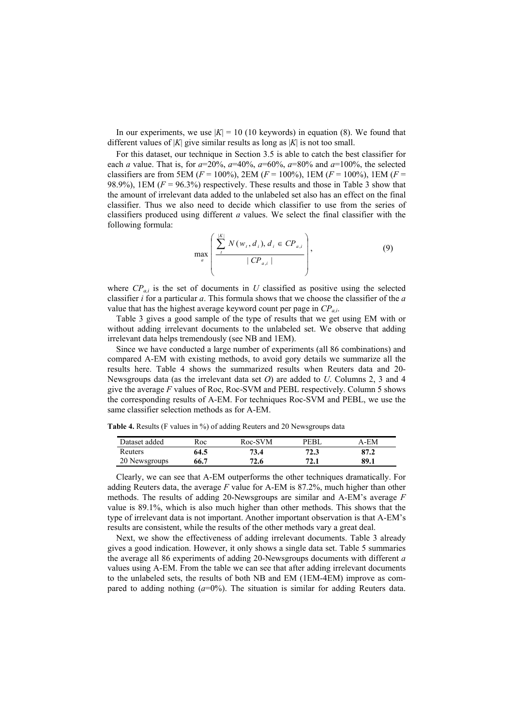In our experiments, we use  $|K| = 10$  (10 keywords) in equation (8). We found that different values of  $|K|$  give similar results as long as  $|K|$  is not too small.

For this dataset, our technique in Section 3.5 is able to catch the best classifier for each *a* value. That is, for  $a=20\%$ ,  $a=40\%$ ,  $a=60\%$ ,  $a=80\%$  and  $a=100\%$ , the selected classifiers are from 5EM ( $F = 100\%$ ), 2EM ( $F = 100\%$ ), 1EM ( $F = 100\%$ ), 1EM ( $F = 100\%$ ) 98.9%), 1EM  $(F = 96.3\%)$  respectively. These results and those in Table 3 show that the amount of irrelevant data added to the unlabeled set also has an effect on the final classifier. Thus we also need to decide which classifier to use from the series of classifiers produced using different  $a$  values. We select the final classifier with the following formula:

$$
\max_{a} \left( \frac{\sum_{i}^{[K]} N(w_{i}, d_{i}), d_{i} \in CP_{a,i}}{|CP_{a,i}|} \right),
$$
\n(9)

where  $CP_{a,i}$  is the set of documents in U classified as positive using the selected cl assifier *i* for a particular *a*. This formula shows that we choose the classifier of the *a* value that has the highest average keyword count per page in  $CP_{ai}$ .

Table 3 gives a good sample of the type of results that we get using EM with or wi thout adding irrelevant documents to the unlabeled set. We observe that adding irrelevant data helps tremendously (see NB and 1EM).

give the average *F* values of Roc, Roc-SVM and PEBL respectively. Column 5 shows the corresponding results of A-EM. For techniques Roc-SVM and PEBL, we use the same classifier selection methods as for A-EM. Since we have conducted a large number of experiments (all 86 combinations) and compared A-EM with existing methods, to avoid gory details we summarize all the results here. Table 4 shows the summarized results when Reuters data and 20- Newsgroups data (as the irrelevant data set *O*) are added to *U*. Columns 2, 3 and 4

Table 4. Results (F values in %) of adding Reuters and 20 Newsgroups data

| Dataset added | Roc  | Roc-SVM | PERI | A-EM |
|---------------|------|---------|------|------|
| Reuters       | 64.5 | 73.4    | 72.3 | 87.2 |
| 20 Newsgroups | 66.7 | 72.6    | 72.1 | 89.1 |

Clearly, we can see that A-EM outperforms the other techniques dramatically. For adding Reuters data, the average *F* value for A-EM is 87.2%, much higher than other methods. The results of adding 20-Newsgroups are similar and A-EM's average *F*  value is 89.1%, which is also much higher than other methods. This shows that the type of irrelevant data is not important. Another important observation is that A-EM's results are consistent, while the results of the other methods vary a great deal.

Next, we show the effectiveness of adding irrelevant documents. Table 3 already gives a good indication. However, it only shows a single data set. Table 5 summaries the average all 86 experiments of adding 20-Newsgroups documents with different *a* values using A-EM. From the table we can see that after adding irrelevant documents to the unlabeled sets, the results of both NB and EM (1EM-4EM) improve as compared to adding nothing  $(a=0\%)$ . The situation is similar for adding Reuters data.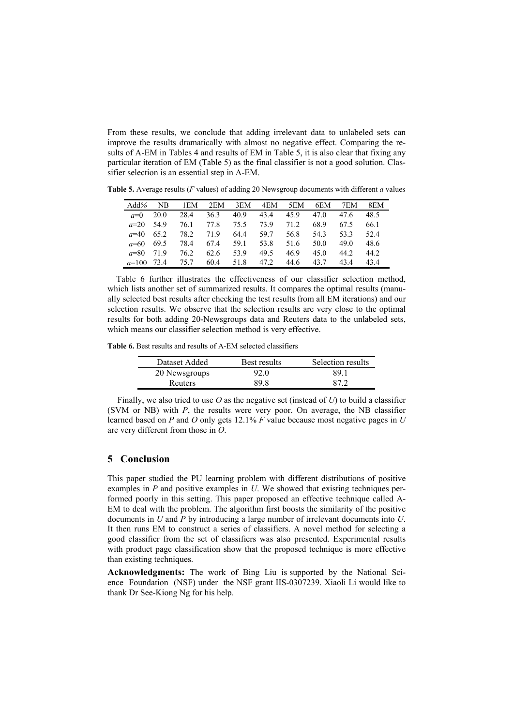From these results, we conclude that adding irrelevant data to unlabeled sets can improve the results dramatically with almost no negative effect. Comparing the results of A-EM in Tables 4 and results of EM in Table 5, it is also clear that fixing any particular iteration of EM (Table 5) as the final classifier is not a good solution. Classifier selection is an essential step in A-EM.

**Table 5.** Average results (*F* values) of adding 20 Newsgroup documents with different *a* values

| $Add\%$ | ΝB   | 1EM  | 2EM  | 3EM  | 4EM  | 5EM  | 6EM  | 7EM  | 8EM  |
|---------|------|------|------|------|------|------|------|------|------|
| $a=0$   | 20.0 | 28.4 | 36.3 | 40.9 | 43.4 | 45.9 | 47.0 | 47.6 | 48.5 |
| $a=20$  | 54.9 | 76.1 | 77.8 | 75.5 | 73.9 | 71.2 | 68.9 | 67.5 | 66.1 |
| $a=40$  | 65.2 | 78.2 | 719  | 64.4 | 59.7 | 56.8 | 54.3 | 53.3 | 52.4 |
| $a=60$  | 69.5 | 78.4 | 67.4 | 59.1 | 53.8 | 51.6 | 50.0 | 49 O | 48.6 |
| $a=80$  | 719  | 76.2 | 62.6 | 53.9 | 49.5 | 46.9 | 45.0 | 44 2 | 44 2 |
| $a=100$ | 73.4 | 75.7 | 60.4 | 51.8 | 47.2 | 44.6 | 43.7 | 434  | 434  |

Table 6 further illustrates the effectiveness of our classifier selection method, which lists another set of summarized results. It compares the optimal results (manually selected best results after checking the test results from all EM iterations) and our selection results. We observe that the selection results are very close to the optimal results for both adding 20-Newsgroups data and Reuters data to the unlabeled sets, which means our classifier selection method is very effective.

Table 6. Best results and results of A-EM selected classifiers

| Dataset Added  | Best results | Selection results |
|----------------|--------------|-------------------|
| 20 Newsgroups  | 92.0         | 891               |
| <b>Reuters</b> | 89 R         | 87 J              |

Finally, we also tried to use *O* as the negative set (instead of *U*) to build a classifier (SVM or NB) with *P*, the results were very poor. On average, the NB classifier learned based on *P* and *O* only gets 12.1% *F* value because most negative pages in *U* are very different from those in *O*.

## **5 Conclusion**

good classifier from the set of classifiers was also presented. Experimental results This paper studied the PU learning problem with different distributions of positive examples in *P* and positive examples in *U*. We showed that existing techniques performed poorly in this setting. This paper proposed an effective technique called A-EM to deal with the problem. The algorithm first boosts the similarity of the positive documents in *U* and *P* by introducing a large number of irrelevant documents into *U*. It then runs EM to construct a series of classifiers. A novel method for selecting a with product page classification show that the proposed technique is more effective than existing techniques.

Acknowledgments: The work of Bing Liu is supported by the National Science Foundation (NSF) under the NSF grant IIS-0307239. Xiaoli Li would like to thank Dr See-Kiong Ng for his help.